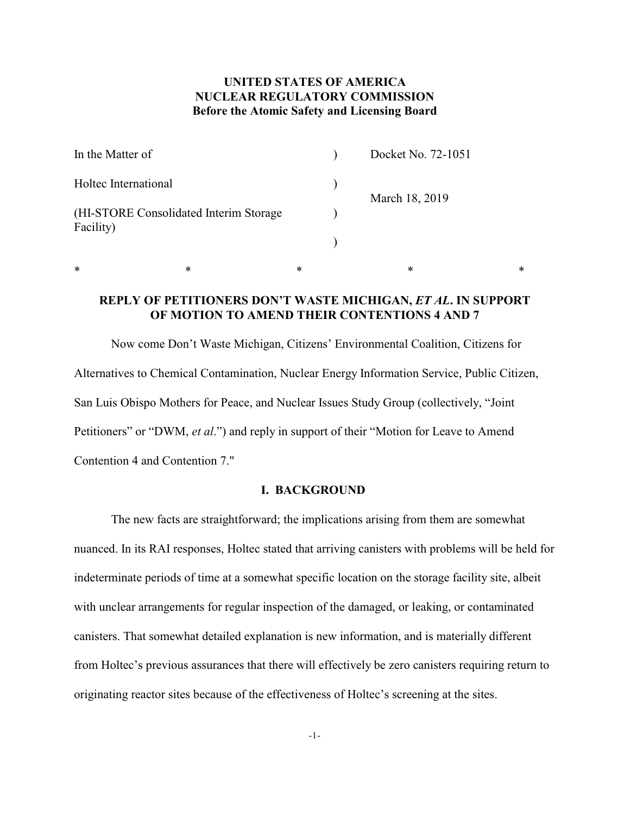## **UNITED STATES OF AMERICA NUCLEAR REGULATORY COMMISSION Before the Atomic Safety and Licensing Board**

| In the Matter of                                     |  | Docket No. 72-1051 |
|------------------------------------------------------|--|--------------------|
| Holtec International                                 |  | March 18, 2019     |
| (HI-STORE Consolidated Interim Storage)<br>Facility) |  |                    |
|                                                      |  |                    |

## **REPLY OF PETITIONERS DON'T WASTE MICHIGAN,** *ET AL***. IN SUPPORT OF MOTION TO AMEND THEIR CONTENTIONS 4 AND 7**

 $*$  \*  $*$  \*  $*$  \*  $*$  \*

Now come Don't Waste Michigan, Citizens' Environmental Coalition, Citizens for Alternatives to Chemical Contamination, Nuclear Energy Information Service, Public Citizen, San Luis Obispo Mothers for Peace, and Nuclear Issues Study Group (collectively, "Joint Petitioners" or "DWM, *et al*.") and reply in support of their "Motion for Leave to Amend Contention 4 and Contention 7."

#### **I. BACKGROUND**

The new facts are straightforward; the implications arising from them are somewhat nuanced. In its RAI responses, Holtec stated that arriving canisters with problems will be held for indeterminate periods of time at a somewhat specific location on the storage facility site, albeit with unclear arrangements for regular inspection of the damaged, or leaking, or contaminated canisters. That somewhat detailed explanation is new information, and is materially different from Holtec's previous assurances that there will effectively be zero canisters requiring return to originating reactor sites because of the effectiveness of Holtec's screening at the sites.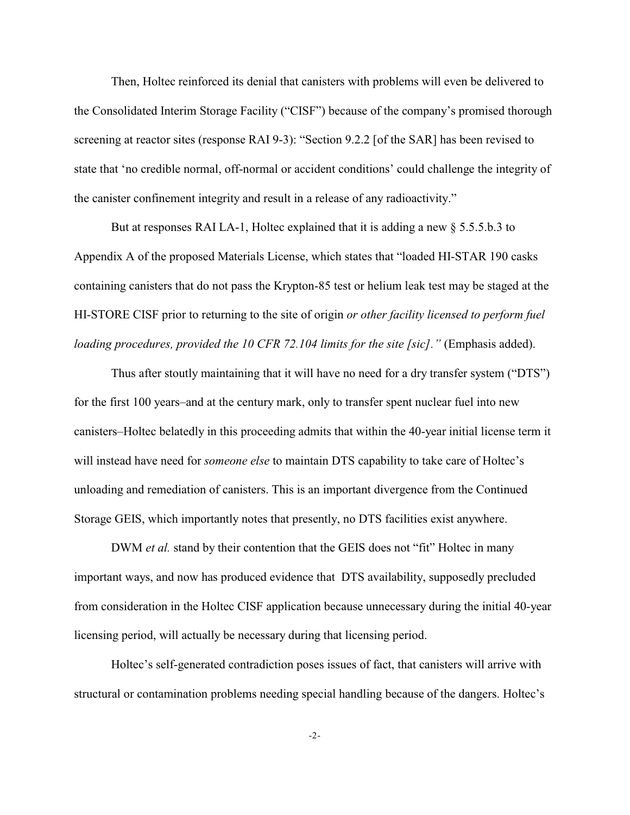Then, Holtec reinforced its denial that canisters with problems will even be delivered to the Consolidated Interim Storage Facility ("CISF") because of the company's promised thorough screening at reactor sites (response RAI 9-3): "Section 9.2.2 [of the SAR] has been revised to state that 'no credible normal, off-normal or accident conditions' could challenge the integrity of the canister confinement integrity and result in a release of any radioactivity."

But at responses RAI LA-1, Holtec explained that it is adding a new § 5.5.5.b.3 to Appendix A of the proposed Materials License, which states that "loaded HI-STAR 190 casks containing canisters that do not pass the Krypton-85 test or helium leak test may be staged at the HI-STORE CISF prior to returning to the site of origin *or other facility licensed to perform fuel loading procedures, provided the 10 CFR 72.104 limits for the site [sic].*" (Emphasis added).

Thus after stoutly maintaining that it will have no need for a dry transfer system ("DTS") for the first 100 years–and at the century mark, only to transfer spent nuclear fuel into new canisters–Holtec belatedly in this proceeding admits that within the 40-year initial license term it will instead have need for *someone else* to maintain DTS capability to take care of Holtec's unloading and remediation of canisters. This is an important divergence from the Continued Storage GEIS, which importantly notes that presently, no DTS facilities exist anywhere.

DWM *et al.* stand by their contention that the GEIS does not "fit" Holtec in many important ways, and now has produced evidence that DTS availability, supposedly precluded from consideration in the Holtec CISF application because unnecessary during the initial 40-year licensing period, will actually be necessary during that licensing period.

Holtec's self-generated contradiction poses issues of fact, that canisters will arrive with structural or contamination problems needing special handling because of the dangers. Holtec's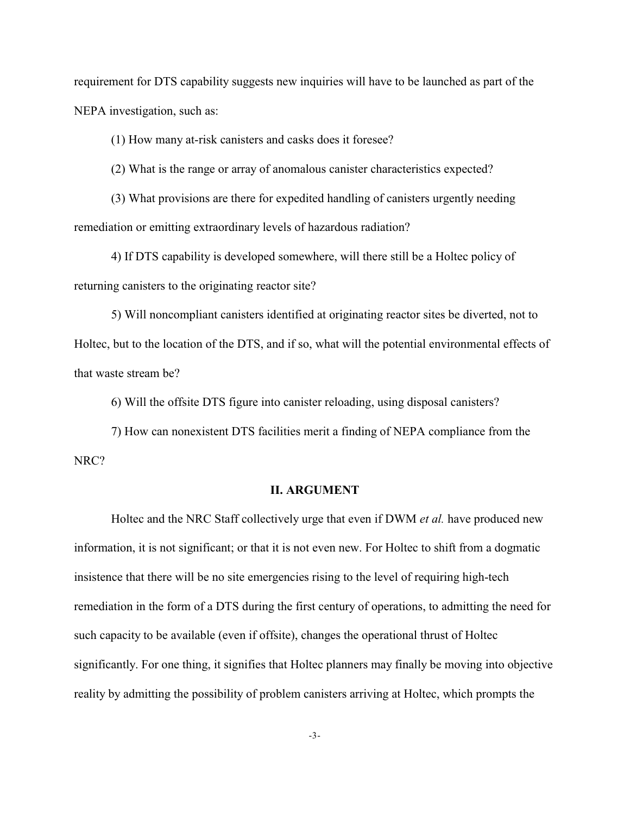requirement for DTS capability suggests new inquiries will have to be launched as part of the NEPA investigation, such as:

(1) How many at-risk canisters and casks does it foresee?

(2) What is the range or array of anomalous canister characteristics expected?

(3) What provisions are there for expedited handling of canisters urgently needing remediation or emitting extraordinary levels of hazardous radiation?

4) If DTS capability is developed somewhere, will there still be a Holtec policy of returning canisters to the originating reactor site?

5) Will noncompliant canisters identified at originating reactor sites be diverted, not to Holtec, but to the location of the DTS, and if so, what will the potential environmental effects of that waste stream be?

6) Will the offsite DTS figure into canister reloading, using disposal canisters?

7) How can nonexistent DTS facilities merit a finding of NEPA compliance from the NRC?

#### **II. ARGUMENT**

Holtec and the NRC Staff collectively urge that even if DWM *et al.* have produced new information, it is not significant; or that it is not even new. For Holtec to shift from a dogmatic insistence that there will be no site emergencies rising to the level of requiring high-tech remediation in the form of a DTS during the first century of operations, to admitting the need for such capacity to be available (even if offsite), changes the operational thrust of Holtec significantly. For one thing, it signifies that Holtec planners may finally be moving into objective reality by admitting the possibility of problem canisters arriving at Holtec, which prompts the

-3-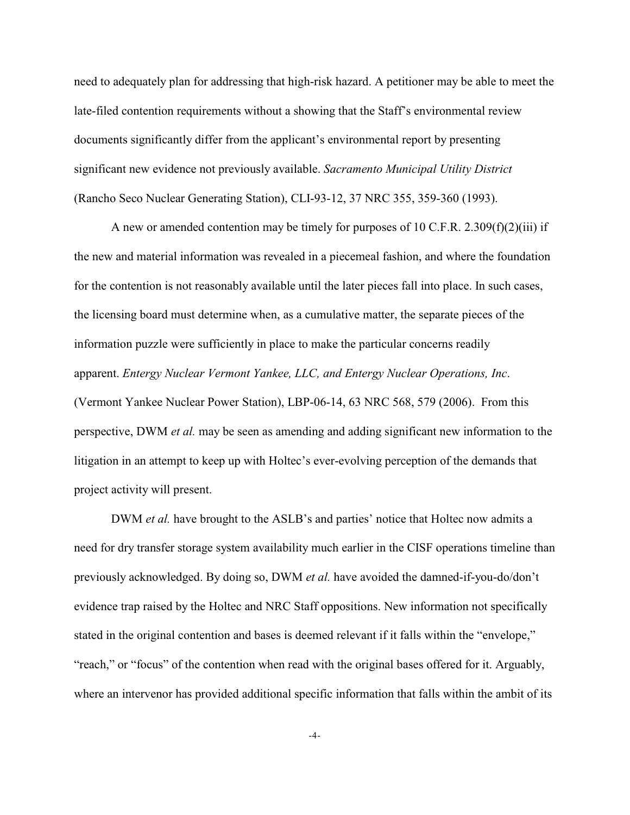need to adequately plan for addressing that high-risk hazard. A petitioner may be able to meet the late-filed contention requirements without a showing that the Staff's environmental review documents significantly differ from the applicant's environmental report by presenting significant new evidence not previously available. *Sacramento Municipal Utility District* (Rancho Seco Nuclear Generating Station), CLI-93-12, 37 NRC 355, 359-360 (1993).

A new or amended contention may be timely for purposes of 10 C.F.R. 2.309(f)(2)(iii) if the new and material information was revealed in a piecemeal fashion, and where the foundation for the contention is not reasonably available until the later pieces fall into place. In such cases, the licensing board must determine when, as a cumulative matter, the separate pieces of the information puzzle were sufficiently in place to make the particular concerns readily apparent. *Entergy Nuclear Vermont Yankee, LLC, and Entergy Nuclear Operations, Inc*. (Vermont Yankee Nuclear Power Station), LBP-06-14, 63 NRC 568, 579 (2006). From this perspective, DWM *et al.* may be seen as amending and adding significant new information to the litigation in an attempt to keep up with Holtec's ever-evolving perception of the demands that project activity will present.

DWM *et al.* have brought to the ASLB's and parties' notice that Holtec now admits a need for dry transfer storage system availability much earlier in the CISF operations timeline than previously acknowledged. By doing so, DWM *et al.* have avoided the damned-if-you-do/don't evidence trap raised by the Holtec and NRC Staff oppositions. New information not specifically stated in the original contention and bases is deemed relevant if it falls within the "envelope," "reach," or "focus" of the contention when read with the original bases offered for it. Arguably, where an intervenor has provided additional specific information that falls within the ambit of its

-4-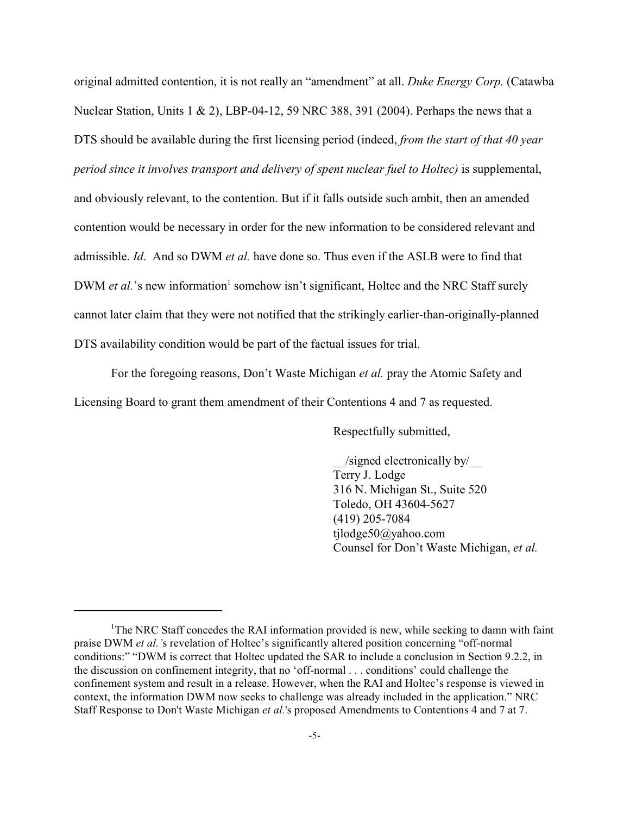original admitted contention, it is not really an "amendment" at all. *Duke Energy Corp.* (Catawba Nuclear Station, Units 1 & 2), LBP-04-12, 59 NRC 388, 391 (2004). Perhaps the news that a DTS should be available during the first licensing period (indeed, *from the start of that 40 year period since it involves transport and delivery of spent nuclear fuel to Holtec)* is supplemental, and obviously relevant, to the contention. But if it falls outside such ambit, then an amended contention would be necessary in order for the new information to be considered relevant and admissible. *Id*. And so DWM *et al.* have done so. Thus even if the ASLB were to find that DWM *et al.*'s new information<sup>1</sup> somehow isn't significant, Holtec and the NRC Staff surely cannot later claim that they were not notified that the strikingly earlier-than-originally-planned DTS availability condition would be part of the factual issues for trial.

For the foregoing reasons, Don't Waste Michigan *et al.* pray the Atomic Safety and Licensing Board to grant them amendment of their Contentions 4 and 7 as requested.

Respectfully submitted,

\_\_/signed electronically by/\_\_ Terry J. Lodge 316 N. Michigan St., Suite 520 Toledo, OH 43604-5627 (419) 205-7084 tjlodge50@yahoo.com Counsel for Don't Waste Michigan, *et al.* 

<sup>&</sup>lt;sup>1</sup>The NRC Staff concedes the RAI information provided is new, while seeking to damn with faint praise DWM *et al.'*s revelation of Holtec's significantly altered position concerning "off-normal conditions:" "DWM is correct that Holtec updated the SAR to include a conclusion in Section 9.2.2, in the discussion on confinement integrity, that no 'off-normal . . . conditions' could challenge the confinement system and result in a release. However, when the RAI and Holtec's response is viewed in context, the information DWM now seeks to challenge was already included in the application." NRC Staff Response to Don't Waste Michigan *et al.*'s proposed Amendments to Contentions 4 and 7 at 7.